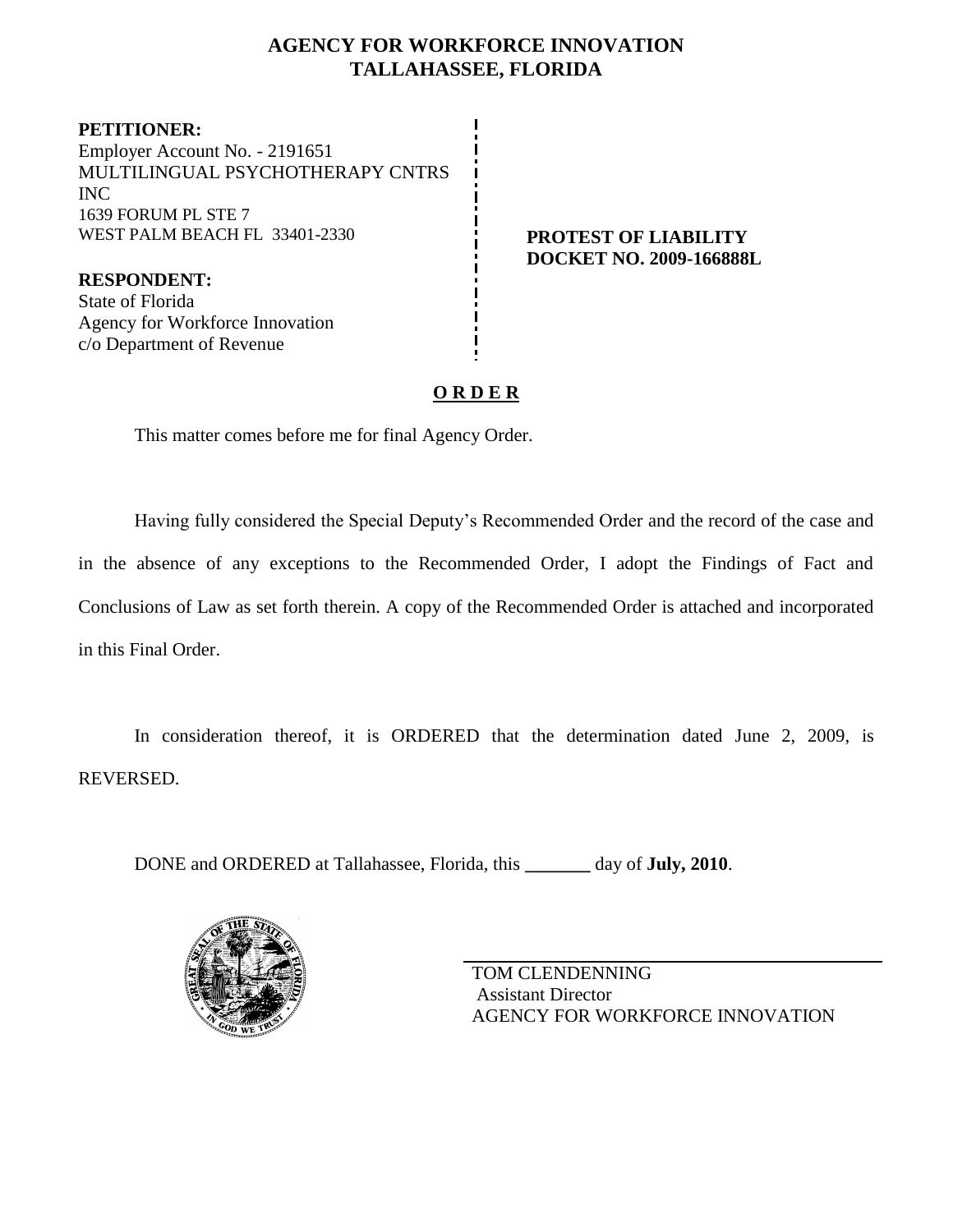# **AGENCY FOR WORKFORCE INNOVATION TALLAHASSEE, FLORIDA**

**PETITIONER:** Employer Account No. - 2191651 MULTILINGUAL PSYCHOTHERAPY CNTRS INC 1639 FORUM PL STE 7 WEST PALM BEACH FL 33401-2330 **PROTEST OF LIABILITY** 

**RESPONDENT:** State of Florida Agency for Workforce Innovation c/o Department of Revenue

# **DOCKET NO. 2009-166888L**

# **O R D E R**

This matter comes before me for final Agency Order.

Having fully considered the Special Deputy's Recommended Order and the record of the case and in the absence of any exceptions to the Recommended Order, I adopt the Findings of Fact and Conclusions of Law as set forth therein. A copy of the Recommended Order is attached and incorporated in this Final Order.

In consideration thereof, it is ORDERED that the determination dated June 2, 2009, is REVERSED.

DONE and ORDERED at Tallahassee, Florida, this **\_\_\_\_\_\_\_** day of **July, 2010**.



TOM CLENDENNING Assistant Director AGENCY FOR WORKFORCE INNOVATION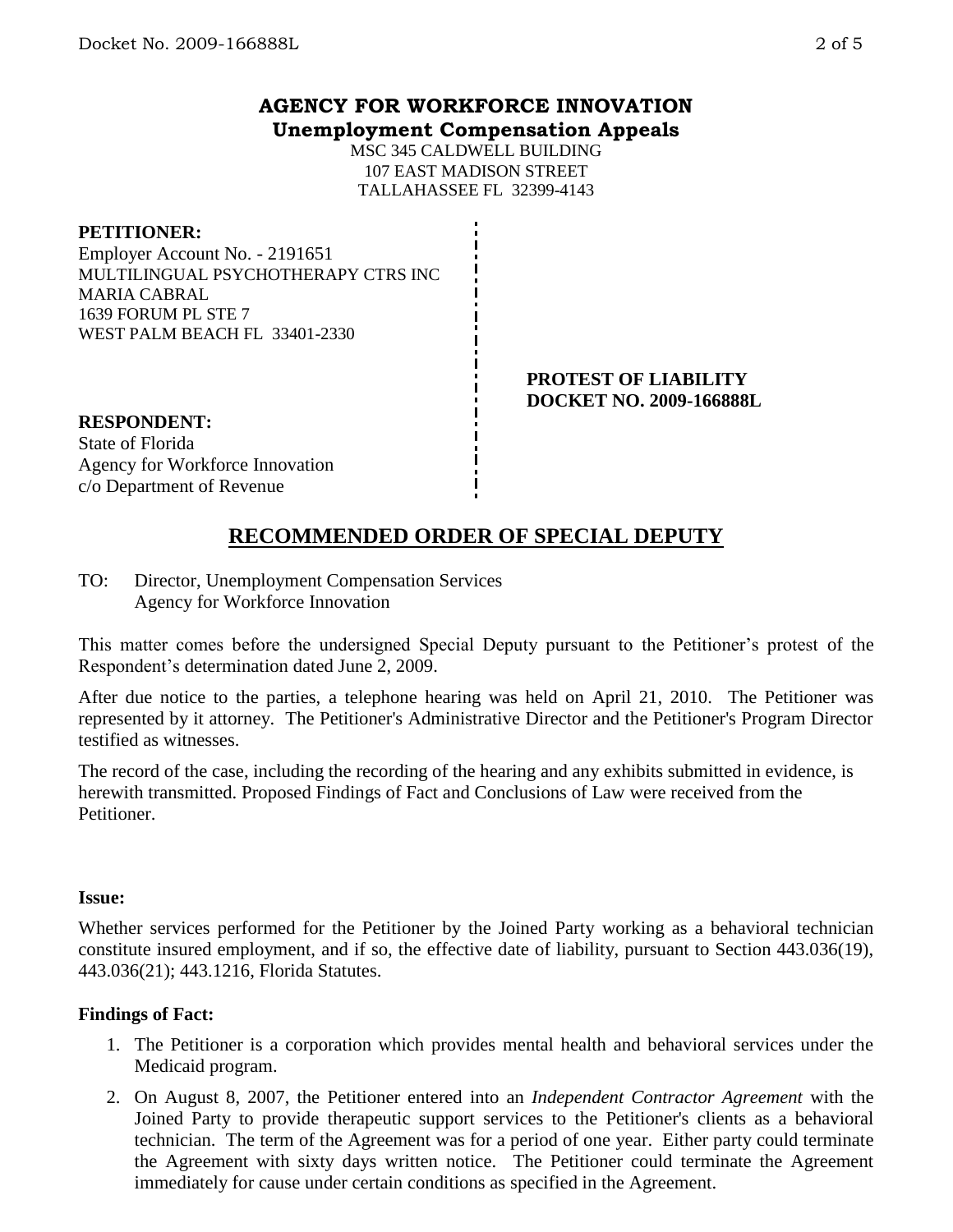## **AGENCY FOR WORKFORCE INNOVATION Unemployment Compensation Appeals**

MSC 345 CALDWELL BUILDING 107 EAST MADISON STREET TALLAHASSEE FL 32399-4143

#### **PETITIONER:**

Employer Account No. - 2191651 MULTILINGUAL PSYCHOTHERAPY CTRS INC MARIA CABRAL 1639 FORUM PL STE 7 WEST PALM BEACH FL 33401-2330

#### **PROTEST OF LIABILITY DOCKET NO. 2009-166888L**

# **RESPONDENT:** State of Florida Agency for Workforce Innovation

# c/o Department of Revenue

# **RECOMMENDED ORDER OF SPECIAL DEPUTY**

TO: Director, Unemployment Compensation Services Agency for Workforce Innovation

This matter comes before the undersigned Special Deputy pursuant to the Petitioner's protest of the Respondent's determination dated June 2, 2009.

After due notice to the parties, a telephone hearing was held on April 21, 2010. The Petitioner was represented by it attorney. The Petitioner's Administrative Director and the Petitioner's Program Director testified as witnesses.

The record of the case, including the recording of the hearing and any exhibits submitted in evidence, is herewith transmitted. Proposed Findings of Fact and Conclusions of Law were received from the Petitioner.

### **Issue:**

Whether services performed for the Petitioner by the Joined Party working as a behavioral technician constitute insured employment, and if so, the effective date of liability, pursuant to Section 443.036(19), 443.036(21); 443.1216, Florida Statutes.

# **Findings of Fact:**

- 1. The Petitioner is a corporation which provides mental health and behavioral services under the Medicaid program.
- 2. On August 8, 2007, the Petitioner entered into an *Independent Contractor Agreement* with the Joined Party to provide therapeutic support services to the Petitioner's clients as a behavioral technician. The term of the Agreement was for a period of one year. Either party could terminate the Agreement with sixty days written notice. The Petitioner could terminate the Agreement immediately for cause under certain conditions as specified in the Agreement.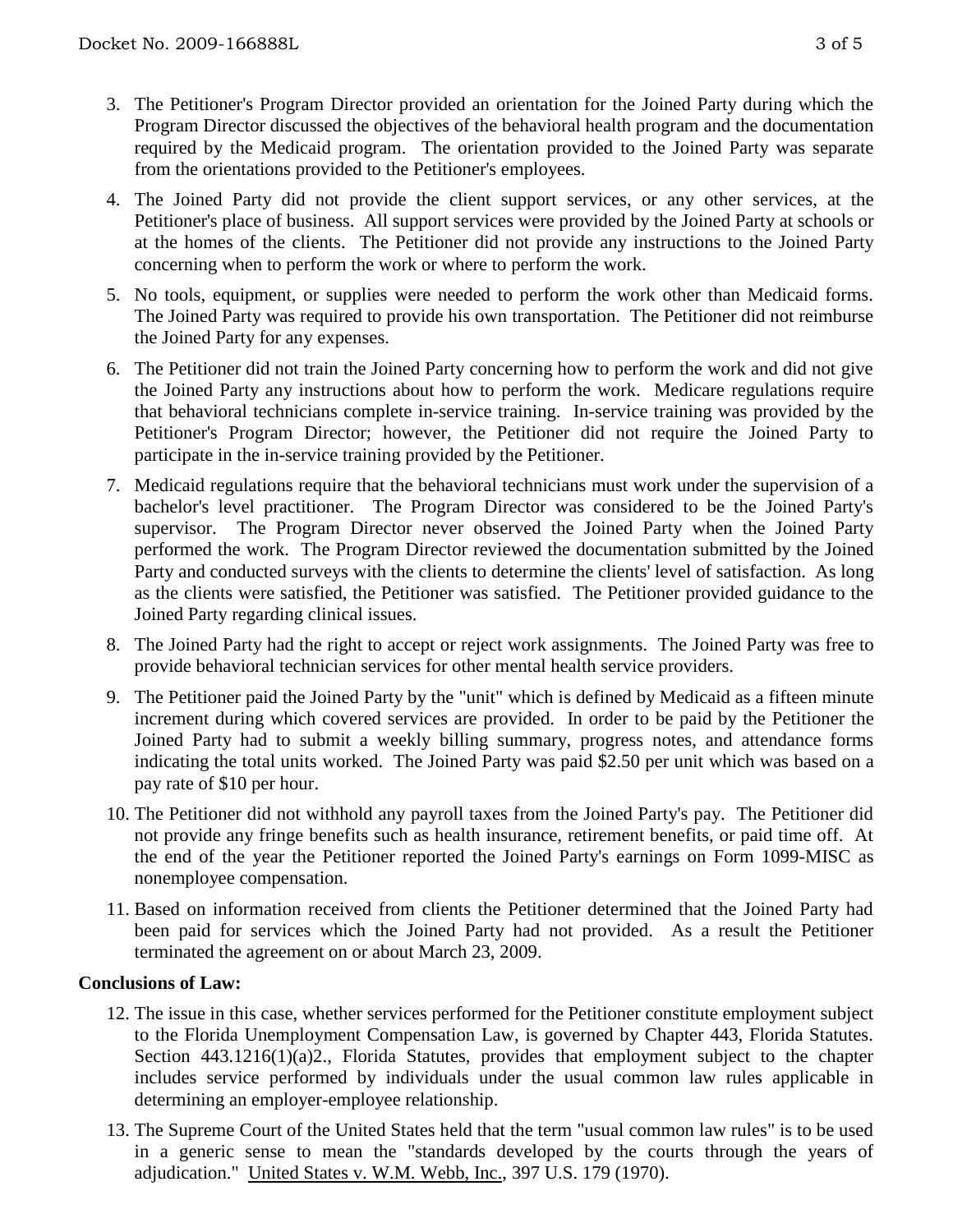- 3. The Petitioner's Program Director provided an orientation for the Joined Party during which the Program Director discussed the objectives of the behavioral health program and the documentation required by the Medicaid program. The orientation provided to the Joined Party was separate from the orientations provided to the Petitioner's employees.
- 4. The Joined Party did not provide the client support services, or any other services, at the Petitioner's place of business. All support services were provided by the Joined Party at schools or at the homes of the clients. The Petitioner did not provide any instructions to the Joined Party concerning when to perform the work or where to perform the work.
- 5. No tools, equipment, or supplies were needed to perform the work other than Medicaid forms. The Joined Party was required to provide his own transportation. The Petitioner did not reimburse the Joined Party for any expenses.
- 6. The Petitioner did not train the Joined Party concerning how to perform the work and did not give the Joined Party any instructions about how to perform the work. Medicare regulations require that behavioral technicians complete in-service training. In-service training was provided by the Petitioner's Program Director; however, the Petitioner did not require the Joined Party to participate in the in-service training provided by the Petitioner.
- 7. Medicaid regulations require that the behavioral technicians must work under the supervision of a bachelor's level practitioner. The Program Director was considered to be the Joined Party's supervisor. The Program Director never observed the Joined Party when the Joined Party performed the work. The Program Director reviewed the documentation submitted by the Joined Party and conducted surveys with the clients to determine the clients' level of satisfaction. As long as the clients were satisfied, the Petitioner was satisfied. The Petitioner provided guidance to the Joined Party regarding clinical issues.
- 8. The Joined Party had the right to accept or reject work assignments. The Joined Party was free to provide behavioral technician services for other mental health service providers.
- 9. The Petitioner paid the Joined Party by the "unit" which is defined by Medicaid as a fifteen minute increment during which covered services are provided. In order to be paid by the Petitioner the Joined Party had to submit a weekly billing summary, progress notes, and attendance forms indicating the total units worked. The Joined Party was paid \$2.50 per unit which was based on a pay rate of \$10 per hour.
- 10. The Petitioner did not withhold any payroll taxes from the Joined Party's pay. The Petitioner did not provide any fringe benefits such as health insurance, retirement benefits, or paid time off. At the end of the year the Petitioner reported the Joined Party's earnings on Form 1099-MISC as nonemployee compensation.
- 11. Based on information received from clients the Petitioner determined that the Joined Party had been paid for services which the Joined Party had not provided. As a result the Petitioner terminated the agreement on or about March 23, 2009.

### **Conclusions of Law:**

- 12. The issue in this case, whether services performed for the Petitioner constitute employment subject to the Florida Unemployment Compensation Law, is governed by Chapter 443, Florida Statutes. Section 443.1216(1)(a)2., Florida Statutes, provides that employment subject to the chapter includes service performed by individuals under the usual common law rules applicable in determining an employer-employee relationship.
- 13. The Supreme Court of the United States held that the term "usual common law rules" is to be used in a generic sense to mean the "standards developed by the courts through the years of adjudication." United States v. W.M. Webb, Inc., 397 U.S. 179 (1970).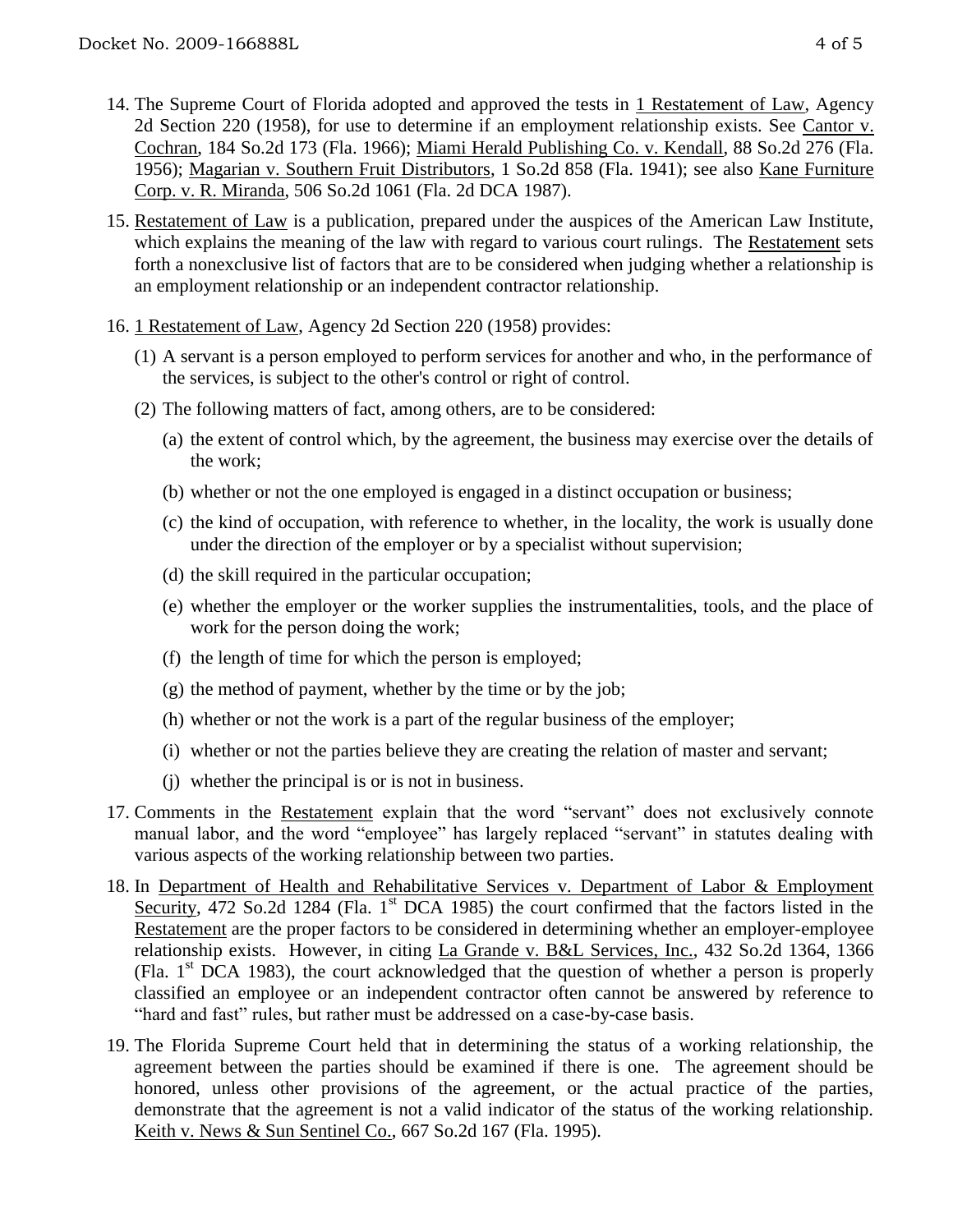- 14. The Supreme Court of Florida adopted and approved the tests in 1 Restatement of Law, Agency 2d Section 220 (1958), for use to determine if an employment relationship exists. See Cantor v. Cochran, 184 So.2d 173 (Fla. 1966); Miami Herald Publishing Co. v. Kendall, 88 So.2d 276 (Fla. 1956); Magarian v. Southern Fruit Distributors, 1 So.2d 858 (Fla. 1941); see also Kane Furniture Corp. v. R. Miranda, 506 So.2d 1061 (Fla. 2d DCA 1987).
- 15. Restatement of Law is a publication, prepared under the auspices of the American Law Institute, which explains the meaning of the law with regard to various court rulings. The Restatement sets forth a nonexclusive list of factors that are to be considered when judging whether a relationship is an employment relationship or an independent contractor relationship.
- 16. 1 Restatement of Law, Agency 2d Section 220 (1958) provides:
	- (1) A servant is a person employed to perform services for another and who, in the performance of the services, is subject to the other's control or right of control.
	- (2) The following matters of fact, among others, are to be considered:
		- (a) the extent of control which, by the agreement, the business may exercise over the details of the work;
		- (b) whether or not the one employed is engaged in a distinct occupation or business;
		- (c) the kind of occupation, with reference to whether, in the locality, the work is usually done under the direction of the employer or by a specialist without supervision;
		- (d) the skill required in the particular occupation;
		- (e) whether the employer or the worker supplies the instrumentalities, tools, and the place of work for the person doing the work;
		- (f) the length of time for which the person is employed;
		- (g) the method of payment, whether by the time or by the job;
		- (h) whether or not the work is a part of the regular business of the employer;
		- (i) whether or not the parties believe they are creating the relation of master and servant;
		- (j) whether the principal is or is not in business.
- 17. Comments in the Restatement explain that the word "servant" does not exclusively connote manual labor, and the word "employee" has largely replaced "servant" in statutes dealing with various aspects of the working relationship between two parties.
- 18. In Department of Health and Rehabilitative Services v. Department of Labor & Employment Security, 472 So.2d 1284 (Fla. 1<sup>st</sup> DCA 1985) the court confirmed that the factors listed in the Restatement are the proper factors to be considered in determining whether an employer-employee relationship exists. However, in citing La Grande v. B&L Services, Inc., 432 So.2d 1364, 1366 (Fla.  $1<sup>st</sup> DCA$  1983), the court acknowledged that the question of whether a person is properly classified an employee or an independent contractor often cannot be answered by reference to "hard and fast" rules, but rather must be addressed on a case-by-case basis.
- 19. The Florida Supreme Court held that in determining the status of a working relationship, the agreement between the parties should be examined if there is one. The agreement should be honored, unless other provisions of the agreement, or the actual practice of the parties, demonstrate that the agreement is not a valid indicator of the status of the working relationship. Keith v. News & Sun Sentinel Co., 667 So.2d 167 (Fla. 1995).